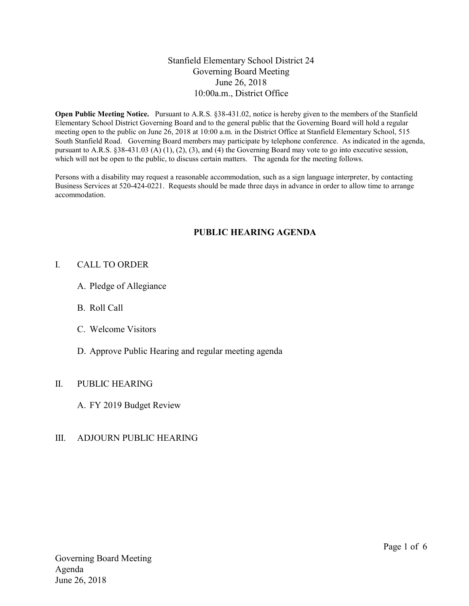### Stanfield Elementary School District 24 Governing Board Meeting June 26, 2018 10:00a.m., District Office

Open Public Meeting Notice. Pursuant to A.R.S. §38-431.02, notice is hereby given to the members of the Stanfield Elementary School District Governing Board and to the general public that the Governing Board will hold a regular meeting open to the public on June 26, 2018 at 10:00 a.m. in the District Office at Stanfield Elementary School, 515 South Stanfield Road. Governing Board members may participate by telephone conference. As indicated in the agenda, pursuant to A.R.S. §38-431.03 (A) (1), (2), (3), and (4) the Governing Board may vote to go into executive session, which will not be open to the public, to discuss certain matters. The agenda for the meeting follows.

Persons with a disability may request a reasonable accommodation, such as a sign language interpreter, by contacting Business Services at 520-424-0221. Requests should be made three days in advance in order to allow time to arrange accommodation.

## PUBLIC HEARING AGENDA

#### I. CALL TO ORDER

- A. Pledge of Allegiance
- B. Roll Call
- C. Welcome Visitors
- D. Approve Public Hearing and regular meeting agenda

### II. PUBLIC HEARING

A. FY 2019 Budget Review

### III. ADJOURN PUBLIC HEARING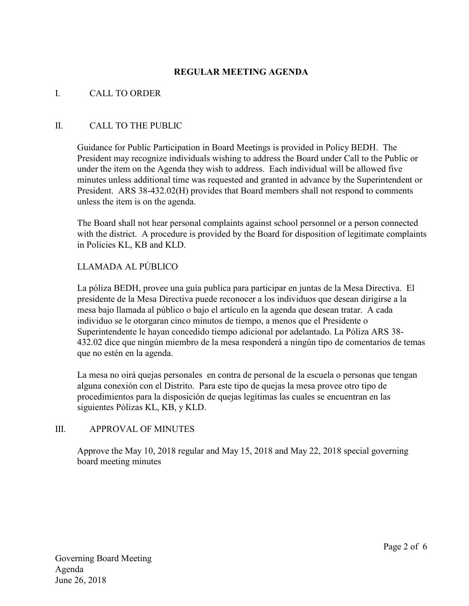# REGULAR MEETING AGENDA

### I. CALL TO ORDER

#### II. CALL TO THE PUBLIC

Guidance for Public Participation in Board Meetings is provided in Policy BEDH. The President may recognize individuals wishing to address the Board under Call to the Public or under the item on the Agenda they wish to address. Each individual will be allowed five minutes unless additional time was requested and granted in advance by the Superintendent or President. ARS 38-432.02(H) provides that Board members shall not respond to comments unless the item is on the agenda.

The Board shall not hear personal complaints against school personnel or a person connected with the district. A procedure is provided by the Board for disposition of legitimate complaints in Policies KL, KB and KLD.

### LLAMADA AL PÚBLICO

La póliza BEDH, provee una guía publica para participar en juntas de la Mesa Directiva. El presidente de la Mesa Directiva puede reconocer a los individuos que desean dirigirse a la mesa bajo llamada al público o bajo el artículo en la agenda que desean tratar. A cada individuo se le otorgaran cinco minutos de tiempo, a menos que el Presidente o Superintendente le hayan concedido tiempo adicional por adelantado. La Póliza ARS 38- 432.02 dice que ningún miembro de la mesa responderá a ningún tipo de comentarios de temas que no estén en la agenda.

La mesa no oirá quejas personales en contra de personal de la escuela o personas que tengan alguna conexión con el Distrito. Para este tipo de quejas la mesa provee otro tipo de procedimientos para la disposición de quejas legítimas las cuales se encuentran en las siguientes Pólizas KL, KB, y KLD.

### III. APPROVAL OF MINUTES

Approve the May 10, 2018 regular and May 15, 2018 and May 22, 2018 special governing board meeting minutes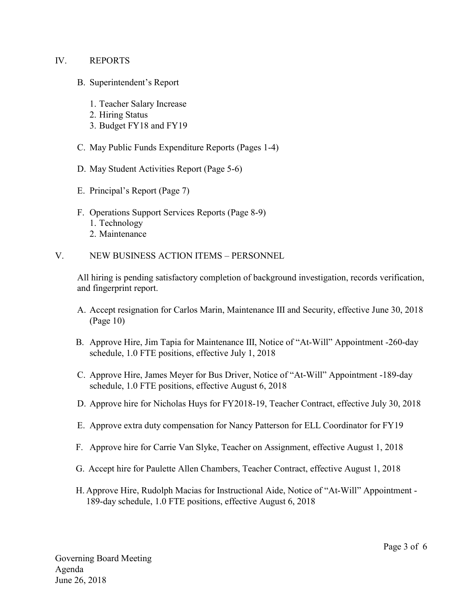#### IV. REPORTS

- B. Superintendent's Report
	- 1. Teacher Salary Increase
	- 2. Hiring Status
	- 3. Budget FY18 and FY19
- C. May Public Funds Expenditure Reports (Pages 1-4)
- D. May Student Activities Report (Page 5-6)
- E. Principal's Report (Page 7)
- F. Operations Support Services Reports (Page 8-9) 1. Technology 2. Maintenance
- V. NEW BUSINESS ACTION ITEMS PERSONNEL

All hiring is pending satisfactory completion of background investigation, records verification, and fingerprint report.

- A. Accept resignation for Carlos Marin, Maintenance III and Security, effective June 30, 2018 (Page 10)
- B. Approve Hire, Jim Tapia for Maintenance III, Notice of "At-Will" Appointment -260-day schedule, 1.0 FTE positions, effective July 1, 2018
- C. Approve Hire, James Meyer for Bus Driver, Notice of "At-Will" Appointment -189-day schedule, 1.0 FTE positions, effective August 6, 2018
- D. Approve hire for Nicholas Huys for FY2018-19, Teacher Contract, effective July 30, 2018
- E. Approve extra duty compensation for Nancy Patterson for ELL Coordinator for FY19
- F. Approve hire for Carrie Van Slyke, Teacher on Assignment, effective August 1, 2018
- G. Accept hire for Paulette Allen Chambers, Teacher Contract, effective August 1, 2018
- H. Approve Hire, Rudolph Macias for Instructional Aide, Notice of "At-Will" Appointment 189-day schedule, 1.0 FTE positions, effective August 6, 2018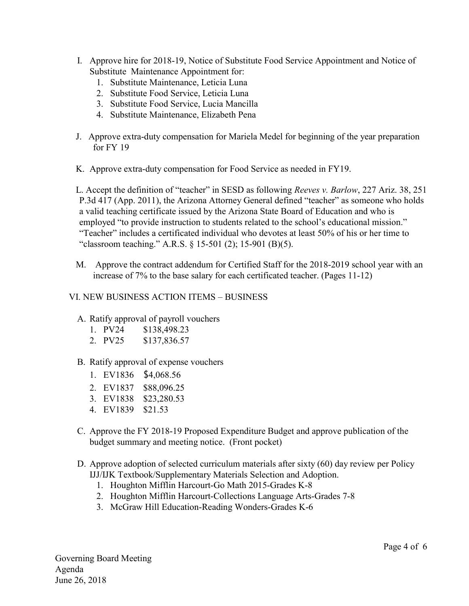- I. Approve hire for 2018-19, Notice of Substitute Food Service Appointment and Notice of Substitute Maintenance Appointment for:
	- 1. Substitute Maintenance, Leticia Luna
	- 2. Substitute Food Service, Leticia Luna
	- 3. Substitute Food Service, Lucia Mancilla
	- 4. Substitute Maintenance, Elizabeth Pena
- J. Approve extra-duty compensation for Mariela Medel for beginning of the year preparation for FY 19
- K. Approve extra-duty compensation for Food Service as needed in FY19.

L. Accept the definition of "teacher" in SESD as following Reeves v. Barlow, 227 Ariz. 38, 251 P.3d 417 (App. 2011), the Arizona Attorney General defined "teacher" as someone who holds a valid teaching certificate issued by the Arizona State Board of Education and who is employed "to provide instruction to students related to the school's educational mission." "Teacher" includes a certificated individual who devotes at least 50% of his or her time to "classroom teaching." A.R.S. § 15-501 (2); 15-901 (B)(5).

M. Approve the contract addendum for Certified Staff for the 2018-2019 school year with an increase of 7% to the base salary for each certificated teacher. (Pages 11-12)

### VI. NEW BUSINESS ACTION ITEMS – BUSINESS

### A. Ratify approval of payroll vouchers

- 1. PV24 \$138,498.23
- 2. PV25 \$137,836.57

### B. Ratify approval of expense vouchers

- 1. EV1836 \$4,068.56
- 2. EV1837 \$88,096.25
- 3. EV1838 \$23,280.53
- 4. EV1839 \$21.53
- C. Approve the FY 2018-19 Proposed Expenditure Budget and approve publication of the budget summary and meeting notice. (Front pocket)
- D. Approve adoption of selected curriculum materials after sixty (60) day review per Policy IJJ/IJK Textbook/Supplementary Materials Selection and Adoption.
	- 1. Houghton Mifflin Harcourt-Go Math 2015-Grades K-8
	- 2. Houghton Mifflin Harcourt-Collections Language Arts-Grades 7-8
	- 3. McGraw Hill Education-Reading Wonders-Grades K-6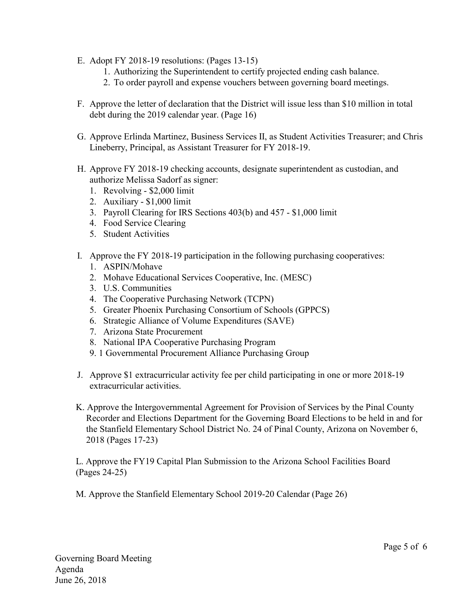- E. Adopt FY 2018-19 resolutions: (Pages 13-15)
	- 1. Authorizing the Superintendent to certify projected ending cash balance.
	- 2. To order payroll and expense vouchers between governing board meetings.
- F. Approve the letter of declaration that the District will issue less than \$10 million in total debt during the 2019 calendar year. (Page 16)
- G. Approve Erlinda Martinez, Business Services II, as Student Activities Treasurer; and Chris Lineberry, Principal, as Assistant Treasurer for FY 2018-19.
- H. Approve FY 2018-19 checking accounts, designate superintendent as custodian, and authorize Melissa Sadorf as signer:
	- 1. Revolving \$2,000 limit
	- 2. Auxiliary \$1,000 limit
	- 3. Payroll Clearing for IRS Sections 403(b) and 457 \$1,000 limit
	- 4. Food Service Clearing
	- 5. Student Activities
- I. Approve the FY 2018-19 participation in the following purchasing cooperatives:
	- 1. ASPIN/Mohave
	- 2. Mohave Educational Services Cooperative, Inc. (MESC)
	- 3. U.S. Communities
	- 4. The Cooperative Purchasing Network (TCPN)
	- 5. Greater Phoenix Purchasing Consortium of Schools (GPPCS)
	- 6. Strategic Alliance of Volume Expenditures (SAVE)
	- 7. Arizona State Procurement
	- 8. National IPA Cooperative Purchasing Program
	- 9. 1 Governmental Procurement Alliance Purchasing Group
- J. Approve \$1 extracurricular activity fee per child participating in one or more 2018-19 extracurricular activities.
- K. Approve the Intergovernmental Agreement for Provision of Services by the Pinal County Recorder and Elections Department for the Governing Board Elections to be held in and for the Stanfield Elementary School District No. 24 of Pinal County, Arizona on November 6, 2018 (Pages 17-23)

L. Approve the FY19 Capital Plan Submission to the Arizona School Facilities Board (Pages 24-25)

M. Approve the Stanfield Elementary School 2019-20 Calendar (Page 26)